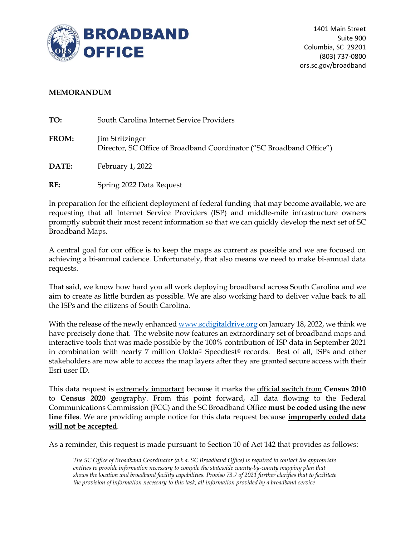

## **MEMORANDUM**

| TO:          | South Carolina Internet Service Providers                                               |
|--------------|-----------------------------------------------------------------------------------------|
| <b>FROM:</b> | Jim Stritzinger<br>Director, SC Office of Broadband Coordinator ("SC Broadband Office") |
| <b>DATE:</b> | February 1, 2022                                                                        |

**RE:** Spring 2022 Data Request

In preparation for the efficient deployment of federal funding that may become available, we are requesting that all Internet Service Providers (ISP) and middle-mile infrastructure owners promptly submit their most recent information so that we can quickly develop the next set of SC Broadband Maps.

A central goal for our office is to keep the maps as current as possible and we are focused on achieving a bi-annual cadence. Unfortunately, that also means we need to make bi-annual data requests.

That said, we know how hard you all work deploying broadband across South Carolina and we aim to create as little burden as possible. We are also working hard to deliver value back to all the ISPs and the citizens of South Carolina.

With the release of the newly enhance[d www.scdigitaldrive.org](http://www.scdigitaldrive.org/) on January 18, 2022, we think we have precisely done that. The website now features an extraordinary set of broadband maps and interactive tools that was made possible by the 100% contribution of ISP data in September 2021 in combination with nearly 7 million Ookla® Speedtest® records. Best of all, ISPs and other stakeholders are now able to access the map layers after they are granted secure access with their Esri user ID.

This data request is extremely important because it marks the official switch from **Census 2010** to **Census 2020** geography. From this point forward, all data flowing to the Federal Communications Commission (FCC) and the SC Broadband Office **must be coded using the new line files**. We are providing ample notice for this data request because **improperly coded data will not be accepted**.

As a reminder, this request is made pursuant to Section 10 of Act 142 that provides as follows:

*The SC Office of Broadband Coordinator (a.k.a. SC Broadband Office) is required to contact the appropriate entities to provide information necessary to compile the statewide county-by-county mapping plan that shows the location and broadband facility capabilities. Proviso 73.7 of 2021 further clarifies that to facilitate the provision of information necessary to this task, all information provided by a broadband service*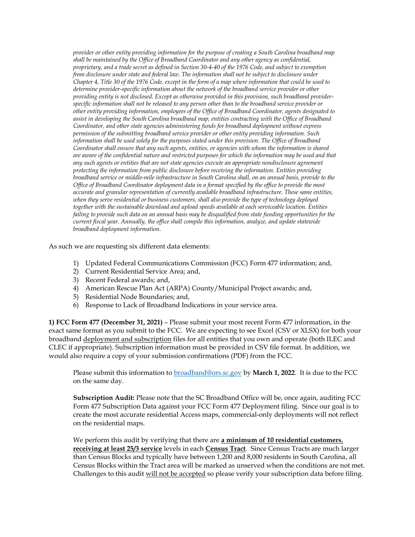*provider or other entity providing information for the purpose of creating a South Carolina broadband map shall be maintained by the Office of Broadband Coordinator and any other agency as confidential, proprietary, and a trade secret as defined in Section 30-4-40 of the 1976 Code, and subject to exemption from disclosure under state and federal law. The information shall not be subject to disclosure under Chapter 4, Title 30 of the 1976 Code, except in the form of a map where information that could be used to determine provider-specific information about the network of the broadband service provider or other providing entity is not disclosed. Except as otherwise provided in this provision, such broadband providerspecific information shall not be released to any person other than to the broadband service provider or other entity providing information, employees of the Office of Broadband Coordinator, agents designated to assist in developing the South Carolina broadband map, entities contracting with the Office of Broadband Coordinator, and other state agencies administering funds for broadband deployment without express permission of the submitting broadband service provider or other entity providing information. Such information shall be used solely for the purposes stated under this provision. The Office of Broadband Coordinator shall ensure that any such agents, entities, or agencies with whom the information is shared are aware of the confidential nature and restricted purposes for which the information may be used and that any such agents or entities that are not state agencies execute an appropriate nondisclosure agreement protecting the information from public disclosure before receiving the information. Entities providing broadband service or middle-mile infrastructure in South Carolina shall, on an annual basis, provide to the Office of Broadband Coordinator deployment data in a format specified by the office to provide the most accurate and granular representation of currently available broadband infrastructure. These same entities, when they serve residential or business customers, shall also provide the type of technology deployed together with the sustainable download and upload speeds available at each serviceable location. Entities failing to provide such data on an annual basis may be disqualified from state funding opportunities for the current fiscal year. Annually, the office shall compile this information, analyze, and update statewide broadband deployment information.*

As such we are requesting six different data elements:

- 1) Updated Federal Communications Commission (FCC) Form 477 information; and,
- 2) Current Residential Service Area; and,
- 3) Recent Federal awards; and,
- 4) American Rescue Plan Act (ARPA) County/Municipal Project awards; and,
- 5) Residential Node Boundaries; and,
- 6) Response to Lack of Broadband Indications in your service area.

**1) FCC Form 477 (December 31, 2021)** – Please submit your most recent Form 477 information, in the exact same format as you submit to the FCC. We are expecting to see Excel (CSV or XLSX) for both your broadband deployment and subscription files for all entities that you own and operate (both ILEC and CLEC if appropriate). Subscription information must be provided in CSV file format. In addition, we would also require a copy of your submission confirmations (PDF) from the FCC.

Please submit this information to [broadband@ors.sc.gov](mailto:broadband@ors.sc.gov) by **March 1, 2022**. It is due to the FCC on the same day.

**Subscription Audit:** Please note that the SC Broadband Office will be, once again, auditing FCC Form 477 Subscription Data against your FCC Form 477 Deployment filing. Since our goal is to create the most accurate residential Access maps, commercial-only deployments will not reflect on the residential maps.

We perform this audit by verifying that there are **a minimum of 10 residential customers**, **receiving at least 25/3 service** levels in each **Census Tract**. Since Census Tracts are much larger than Census Blocks and typically have between 1,200 and 8,000 residents in South Carolina, all Census Blocks within the Tract area will be marked as unserved when the conditions are not met. Challenges to this audit will not be accepted so please verify your subscription data before filing.